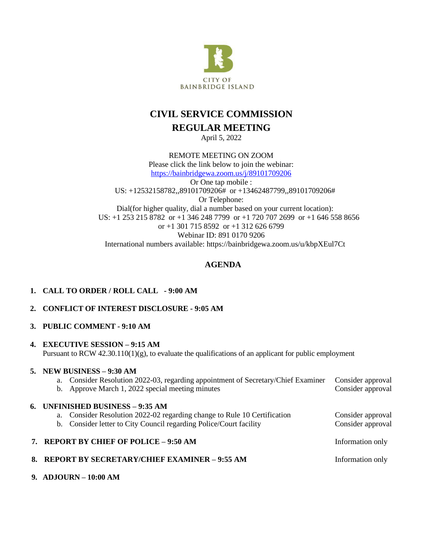

# **CIVIL SERVICE COMMISSION REGULAR MEETING**

April 5, 2022

REMOTE MEETING ON ZOOM Please click the link below to join the webinar: <https://bainbridgewa.zoom.us/j/89101709206> Or One tap mobile : US: +12532158782,,89101709206# or +13462487799,,89101709206# Or Telephone: Dial(for higher quality, dial a number based on your current location): US: +1 253 215 8782 or +1 346 248 7799 or +1 720 707 2699 or +1 646 558 8656 or +1 301 715 8592 or +1 312 626 6799 Webinar ID: 891 0170 9206 International numbers available: https://bainbridgewa.zoom.us/u/kbpXEul7Ct

# **AGENDA**

| 1. CALL TO ORDER / ROLL CALL - 9:00 AM |  |
|----------------------------------------|--|
|                                        |  |

## **2. CONFLICT OF INTEREST DISCLOSURE - 9:05 AM**

#### **3. PUBLIC COMMENT - 9:10 AM**

#### **4. EXECUTIVE SESSION – 9:15 AM**

Pursuant to RCW 42.30.110(1)(g), to evaluate the qualifications of an applicant for public employment

## **5. NEW BUSINESS – 9:30 AM**

| a. Consider Resolution 2022-03, regarding appointment of Secretary/Chief Examiner<br>b. Approve March 1, 2022 special meeting minutes                                              | Consider approval<br>Consider approval |
|------------------------------------------------------------------------------------------------------------------------------------------------------------------------------------|----------------------------------------|
| 6. UNFINISHED BUSINESS – 9:35 AM<br>a. Consider Resolution 2022-02 regarding change to Rule 10 Certification<br>b. Consider letter to City Council regarding Police/Court facility | Consider approval<br>Consider approval |
| 7. REPORT BY CHIEF OF POLICE - 9:50 AM                                                                                                                                             | Information only                       |
| 8. REPORT BY SECRETARY/CHIEF EXAMINER - 9:55 AM                                                                                                                                    | Information only                       |
|                                                                                                                                                                                    |                                        |

**9. ADJOURN – 10:00 AM**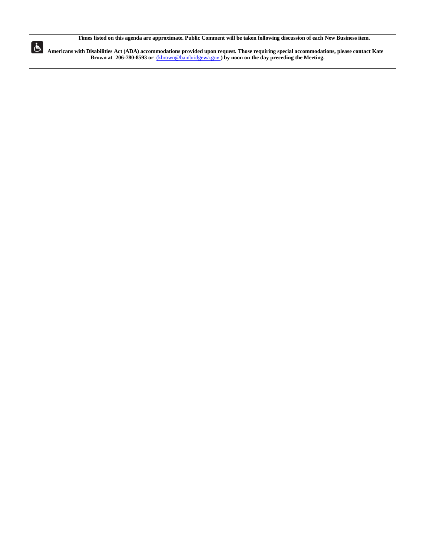Times listed on this agenda are approximate. Public Comment will be taken following discussion of each New Business item.

Americans with Disabilities Act (ADA) accommodations provided upon request. Those requiring special accommodations, please contact Kate **Brown at 206-780-8593 or** [\(kbrown@bainbridgewa.gov](mailto:(kbrown@bainbridgewa.gov) **) by noon on the day preceding the Meeting.**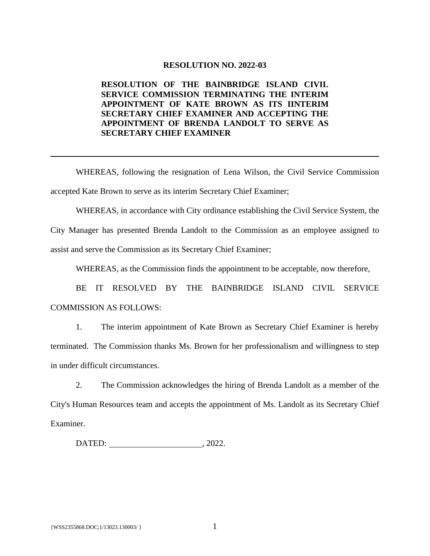#### **RESOLUTION NO. 2022-03**

## **RESOLUTION OF THE BAINBRIDGE ISLAND CIVIL SERVICE COMMISSION TERMINATING THE INTERIM APPOINTMENT OF KATE BROWN AS ITS IINTERIM SECRETARY CHIEF EXAMINER AND ACCEPTING THE APPOINTMENT OF BRENDA LANDOLT TO SERVE AS SECRETARY CHIEF EXAMINER**

WHEREAS, following the resignation of Lena Wilson, the Civil Service Commission accepted Kate Brown to serve as its interim Secretary Chief Examiner;

WHEREAS, in accordance with City ordinance establishing the Civil Service System, the

City Manager has presented Brenda Landolt to the Commission as an employee assigned to assist and serve the Commission as its Secretary Chief Examiner;

WHEREAS, as the Commission finds the appointment to be acceptable, now therefore,

BE IT RESOLVED BY THE BAINBRIDGE ISLAND CIVIL SERVICE COMMISSION AS FOLLOWS:

1. The interim appointment of Kate Brown as Secretary Chief Examiner is hereby terminated. The Commission thanks Ms. Brown for her professionalism and willingness to step in under difficult circumstances.

2. The Commission acknowledges the hiring of Brenda Landolt as a member of the City's Human Resources team and accepts the appointment of Ms. Landolt as its Secretary Chief Examiner.

DATED: , 2022.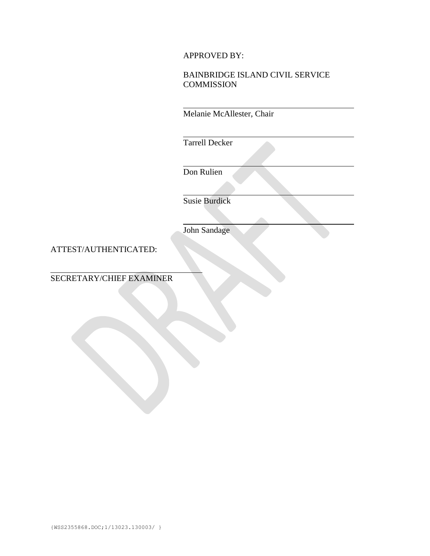## APPROVED BY:

# BAINBRIDGE ISLAND CIVIL SERVICE **COMMISSION**

Melanie McAllester, Chair

Tarrell Decker

Don Rulien

Susie Burdick

John Sandage

ATTEST/AUTHENTICATED:

SECRETARY/CHIEF EXAMINER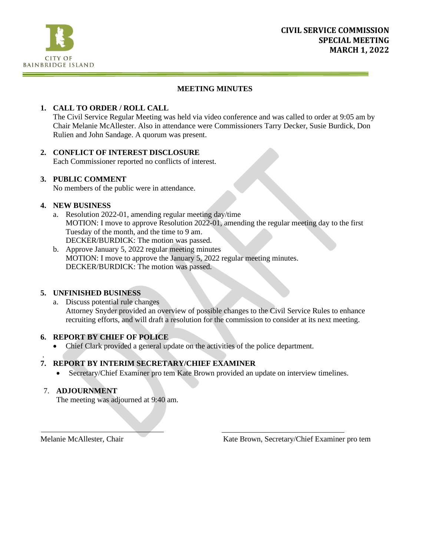

## **MEETING MINUTES**

## **1. CALL TO ORDER / ROLL CALL**

The Civil Service Regular Meeting was held via video conference and was called to order at 9:05 am by Chair Melanie McAllester. Also in attendance were Commissioners Tarry Decker, Susie Burdick, Don Rulien and John Sandage. A quorum was present.

#### **2. CONFLICT OF INTEREST DISCLOSURE**

Each Commissioner reported no conflicts of interest.

#### **3. PUBLIC COMMENT**

No members of the public were in attendance.

#### **4. NEW BUSINESS**

- a. Resolution 2022-01, amending regular meeting day/time MOTION: I move to approve Resolution 2022-01, amending the regular meeting day to the first Tuesday of the month, and the time to 9 am. DECKER/BURDICK: The motion was passed.
- b. Approve January 5, 2022 regular meeting minutes MOTION: I move to approve the January 5, 2022 regular meeting minutes. DECKER/BURDICK: The motion was passed.

#### **5. UNFINISHED BUSINESS**

a. Discuss potential rule changes Attorney Snyder provided an overview of possible changes to the Civil Service Rules to enhance recruiting efforts, and will draft a resolution for the commission to consider at its next meeting.

## **6. REPORT BY CHIEF OF POLICE**

• Chief Clark provided a general update on the activities of the police department.

#### . **7. REPORT BY INTERIM SECRETARY/CHIEF EXAMINER**

• Secretary/Chief Examiner pro tem Kate Brown provided an update on interview timelines.

## 7. **ADJOURNMENT**

The meeting was adjourned at 9:40 am.

Melanie McAllester, Chair **Kate Brown, Secretary/Chief Examiner pro tem**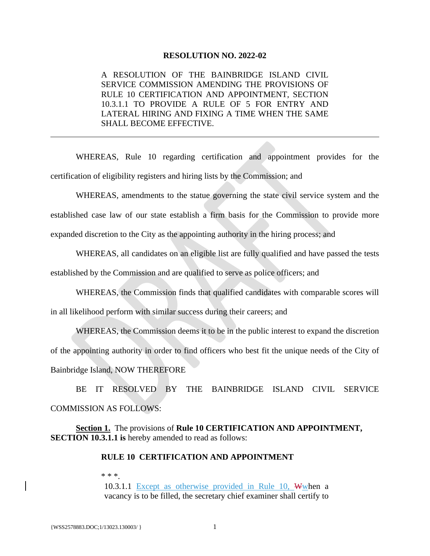#### **RESOLUTION NO. 2022-02**

A RESOLUTION OF THE BAINBRIDGE ISLAND CIVIL SERVICE COMMISSION AMENDING THE PROVISIONS OF RULE 10 CERTIFICATION AND APPOINTMENT, SECTION 10.3.1.1 TO PROVIDE A RULE OF 5 FOR ENTRY AND LATERAL HIRING AND FIXING A TIME WHEN THE SAME SHALL BECOME EFFECTIVE.

WHEREAS, Rule 10 regarding certification and appointment provides for the certification of eligibility registers and hiring lists by the Commission; and

WHEREAS, amendments to the statue governing the state civil service system and the established case law of our state establish a firm basis for the Commission to provide more expanded discretion to the City as the appointing authority in the hiring process; and

WHEREAS, all candidates on an eligible list are fully qualified and have passed the tests established by the Commission and are qualified to serve as police officers; and

WHEREAS, the Commission finds that qualified candidates with comparable scores will in all likelihood perform with similar success during their careers; and

WHEREAS, the Commission deems it to be in the public interest to expand the discretion of the appointing authority in order to find officers who best fit the unique needs of the City of Bainbridge Island, NOW THEREFORE

BE IT RESOLVED BY THE BAINBRIDGE ISLAND CIVIL SERVICE COMMISSION AS FOLLOWS:

**Section 1.** The provisions of **Rule 10 CERTIFICATION AND APPOINTMENT, SECTION 10.3.1.1 is** hereby amended to read as follows:

## **RULE 10 CERTIFICATION AND APPOINTMENT**

\* \* \*.

10.3.1.1 Except as otherwise provided in Rule 10, Wwhen a vacancy is to be filled, the secretary chief examiner shall certify to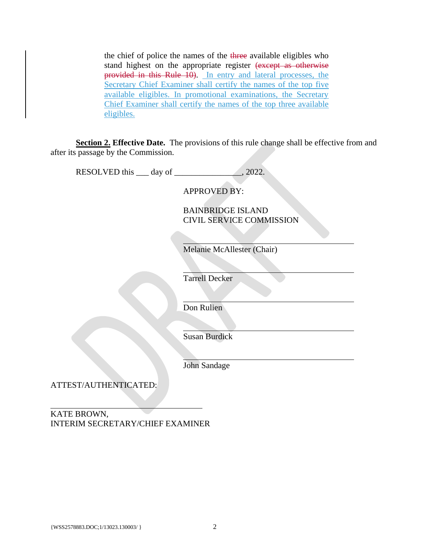the chief of police the names of the three available eligibles who stand highest on the appropriate register (except as otherwise provided in this Rule 10). In entry and lateral processes, the Secretary Chief Examiner shall certify the names of the top five available eligibles. In promotional examinations, the Secretary Chief Examiner shall certify the names of the top three available eligibles.

**Section 2. Effective Date.** The provisions of this rule change shall be effective from and after its passage by the Commission.

| RESOLVED this <u>quality day</u> of <u>quality of</u> | $\_$ , 2022.                                         |
|-------------------------------------------------------|------------------------------------------------------|
|                                                       | <b>APPROVED BY:</b>                                  |
|                                                       | <b>BAINBRIDGE ISLAND</b><br>CIVIL SERVICE COMMISSION |
|                                                       |                                                      |
|                                                       | Melanie McAllester (Chair)                           |
|                                                       | <b>Tarrell Decker</b>                                |
|                                                       | Don Rulien                                           |
|                                                       |                                                      |
|                                                       | <b>Susan Burdick</b>                                 |
|                                                       | John Sandage                                         |
| ATTEST/AUTHENTICATED:                                 |                                                      |
|                                                       |                                                      |

KATE BROWN, INTERIM SECRETARY/CHIEF EXAMINER